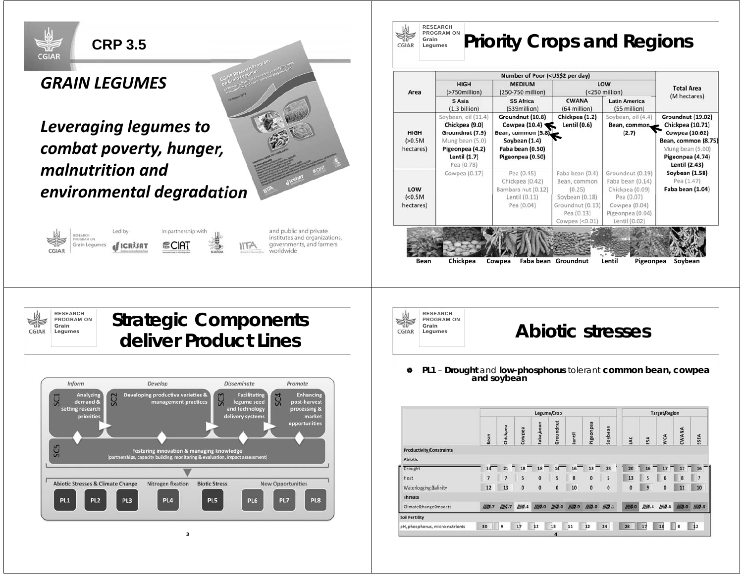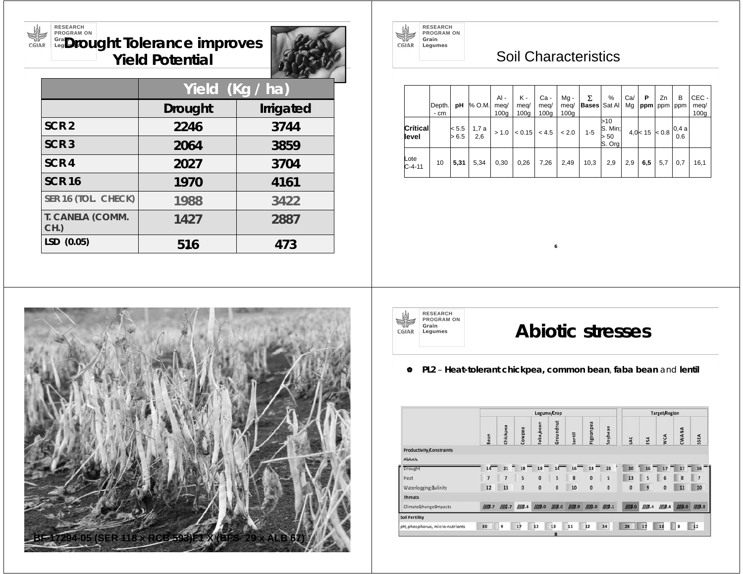#### RESEARCH PROGRAM ON **Grain Legumes Drought Tolerance improves Yield Potential**

**CGIAR** 



|                          | Yield (Kg / ha) |           |  |  |  |  |  |  |  |
|--------------------------|-----------------|-----------|--|--|--|--|--|--|--|
|                          | <b>Drought</b>  | Irrigated |  |  |  |  |  |  |  |
| SCR <sub>2</sub>         | 2246            | 3744      |  |  |  |  |  |  |  |
| SCR <sub>3</sub>         | 2064            | 3859      |  |  |  |  |  |  |  |
| SCR <sub>4</sub>         | 2027            | 3704      |  |  |  |  |  |  |  |
| <b>SCR 16</b>            | 1970            | 4161      |  |  |  |  |  |  |  |
| SER 16 (TOL. CHECK)      | 1988            | 3422      |  |  |  |  |  |  |  |
| T. CANELA (COMM.<br>CH.) | 1427            | 2887      |  |  |  |  |  |  |  |
| $LSD$ (0.05)             | 516             | 473       |  |  |  |  |  |  |  |



#### Soil Characteristics

|                   | Depth. | рH                 | % O.M.      | $AI -$<br>meg/   | Κ-<br>meq/       | Ca -<br>meg/     | $Mq -$<br>meg/   | Σ<br><b>Bases Sat All</b> | %                                 | Ca/<br>Mg | P   | Zn<br>ppm   ppm   ppm | в                                            | CEC-<br>meg/     |
|-------------------|--------|--------------------|-------------|------------------|------------------|------------------|------------------|---------------------------|-----------------------------------|-----------|-----|-----------------------|----------------------------------------------|------------------|
|                   | - cm   |                    |             | 100 <sub>q</sub> | 100 <sub>q</sub> | 100 <sub>q</sub> | 100 <sub>q</sub> |                           |                                   |           |     |                       |                                              | 100 <sub>g</sub> |
| Crítical<br>level |        | $ $ < 5.5<br>> 6.5 | 1.7a<br>2.6 | > 1.0            | < 0.15           | < 4.5            | < 2.0            | $1 - 5$                   | >10<br>S. Min;<br>> 50<br> S. Org |           |     |                       | 4,0 < 15 $\left  0.8 \right ^{0,4}$ a<br>0.6 |                  |
| Lote<br>$C-4-11$  | 10     | 5,31               | 5,34        | 0,30             | 0,26             | 7,26             | 2,49             | 10,3                      | 2,9                               | 2,9       | 6,5 | 5,7                   | 0,7                                          | 16,1             |





### **Legumes Abiotic stresses**

**PL2** – **Heat-tolerant chickpea, common bean**, **faba bean** and **lentil**

|                                 | Legume/Crop    |                |             |                      |              |                  |           |              |              | <b>Target</b> Region |              |         |                |  |  |
|---------------------------------|----------------|----------------|-------------|----------------------|--------------|------------------|-----------|--------------|--------------|----------------------|--------------|---------|----------------|--|--|
|                                 | Bean           | Chickpea       | Cowpea      | Faba <sub>bean</sub> | Groundnut    | Lentill          | Pigeonpea | Soybean      | LAC          | ESA                  | <b>WCA</b>   | CWANA   | SSEA           |  |  |
| <b>Productivity/Constraints</b> |                |                |             |                      |              |                  |           |              |              |                      |              |         |                |  |  |
| <b>Abiotic</b>                  |                |                |             |                      |              |                  |           |              |              |                      |              |         |                |  |  |
| Drought                         | 14             | 21             | 18          | 18                   | 14           | 16               | 18        | 23           | 20           | 16                   | 17           | 17      | 16             |  |  |
| Heat                            | $\overline{ }$ | $\overline{7}$ | 5           | $\bf{0}$             | 5            | $\boldsymbol{8}$ | $\bf{0}$  | 5            | 13           | 5                    | 6            | 8       | $\overline{7}$ |  |  |
| Waterlogging, Galinity          | 12             | 13             | $\mathbf 0$ | $\mathbf{0}$         | $\mathbf{0}$ | 10               | $\pmb{0}$ | $\mathbf{0}$ | $\mathbf{0}$ | 9                    | $\mathbf{0}$ | 11      | 10             |  |  |
| <b>Threats</b>                  |                |                |             |                      |              |                  |           |              |              |                      |              |         |                |  |  |
| Climate@hange0mpacts            | IIIIR.7        | III/17.7       | III/1.4     | III/2.0              | III/2.0      | III/II2.9        | III/12.0  | III/12.1     | III/3.0      | III/12.4             | III/R.4      | III/3.0 | 11112.8        |  |  |
| Soil Fertility                  |                |                |             |                      |              |                  |           |              |              |                      |              |         |                |  |  |
| pH, phosphorus, micro-nutrients | 30             | 9              | 17          | 12                   | 13           | 11               | 12        | 24           | 28           | 17                   | в<br>18      | 8       | 12             |  |  |
|                                 |                |                |             |                      | 8            |                  |           |              |              |                      |              |         |                |  |  |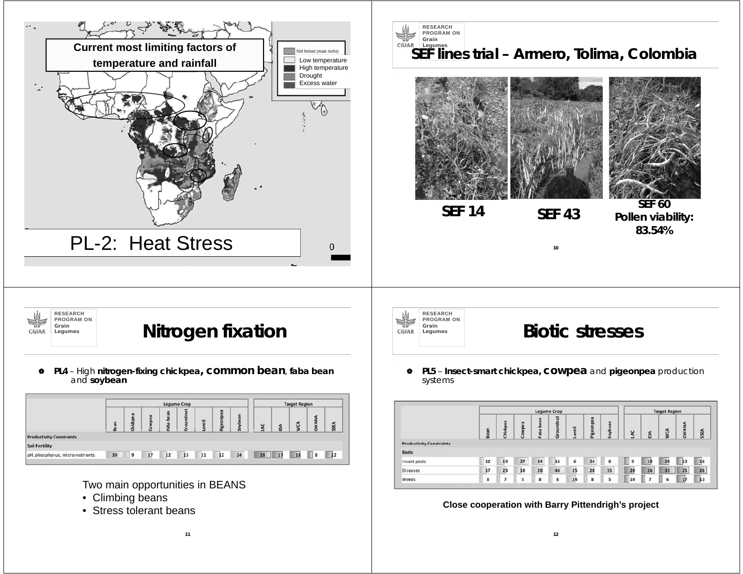

**11**

**12**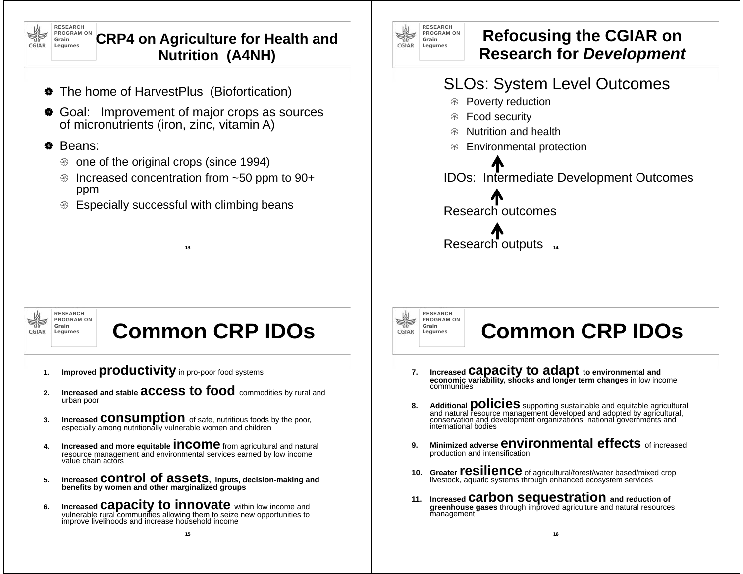**RESEARCH**  PROGRAM ON**Grain** CGIAR Legumes

#### **CRP4 on Agriculture for Health and Nutrition (A4NH)**

- ₩ The home of HarvestPlus (Biofortication)
- ♦ Goal: Improvement of major crops as sources of micronutrients (iron, zinc, vitamin A)

#### ♦ Beans:

- $\circledast$  one of the original crops (since 1994)
- දඹු Increased concentration from ~50 ppm to 90+ ppm

**13**

ඏ Especially successful with climbing beans



# **Legumes Refocusing the CGIAR on Research for** *Development*

#### SLOs: System Level Outcomes

- € Poverty reduction
- ⊛ Food security
- ♧ Nutrition and health
- ලි Environmental protection

IDOs: Intermediate Development Outcomes

Research outcomes

Research outputs **<sup>14</sup>**

RESEARCH PROGRAM ON**Grain** CGIAR

## **Legumes Common CRP IDOs**

- **1.Improved productivity** in pro-poor food systems
- **2. Increased and stable access to food** commodities by rural and urban poor
- **3.Increased CONSUMPTION** of safe, nutritious foods by the poor, especially among nutritionally vulnerable women and children
- **4.Increased and more equitable INCOME** from agricultural and natural resource management and environmental services earned by low income value chain actors
- **5. Increased control of assets, inputs, decision-making and benefits by women and other marginalized groups**
- **6.Increased capacity to innovate** within low income and vulnerable rural communities allowing them to seize new opportunities to improve livelihoods and increase household income

RESEARCH PROGRAM ON**Grain** CGIAR

## **Legumes Common CRP IDOs**

- **7.** Increased **Capacity to adapt** to environmental and economic variability, shocks and longer term changes in low income communities
- 8. Additional **policies** supporting sustainable and equitable agricultural<br>and natural resource management developed and adopted by agricultural,<br>conservation and development organizations, national governments and<br>interna
- **9. Minimized adverse environmental effects** of increased production and intensification
- **10. Greater resilience** of agricultural/forest/water based/mixed crop livestock, aquatic systems through enhanced ecosystem services
- **11.** Increased Carbon sequestration and reduction of greenhouse gases through improved agriculture and natural resources management